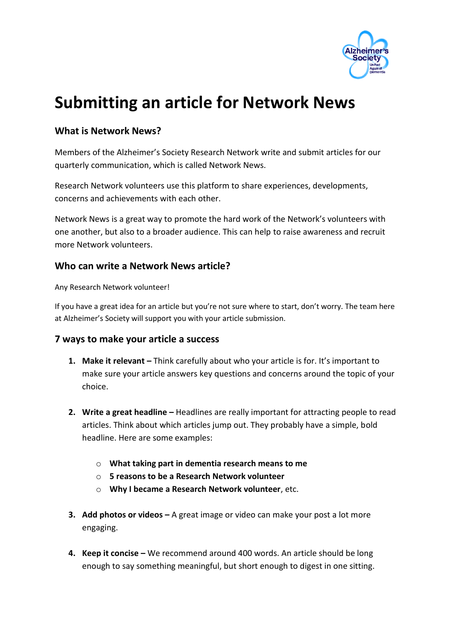

# **Submitting an article for Network News**

## **What is Network News?**

Members of the Alzheimer's Society Research Network write and submit articles for our quarterly communication, which is called Network News.

Research Network volunteers use this platform to share experiences, developments, concerns and achievements with each other.

Network News is a great way to promote the hard work of the Network's volunteers with one another, but also to a broader audience. This can help to raise awareness and recruit more Network volunteers.

#### **Who can write a Network News article?**

Any Research Network volunteer!

If you have a great idea for an article but you're not sure where to start, don't worry. The team here at Alzheimer's Society will support you with your article submission.

#### **7 ways to make your article a success**

- **1. Make it relevant** Think carefully about who your article is for. It's important to make sure your article answers key questions and concerns around the topic of your choice.
- **2. Write a great headline –** Headlines are really important for attracting people to read articles. Think about which articles jump out. They probably have a simple, bold headline. Here are some examples:
	- o **What taking part in dementia research means to me**
	- o **5 reasons to be a Research Network volunteer**
	- o **Why I became a Research Network volunteer**, etc.
- **3. Add photos or videos –** A great image or video can make your post a lot more engaging.
- **4. Keep it concise –** We recommend around 400 words. An article should be long enough to say something meaningful, but short enough to digest in one sitting.